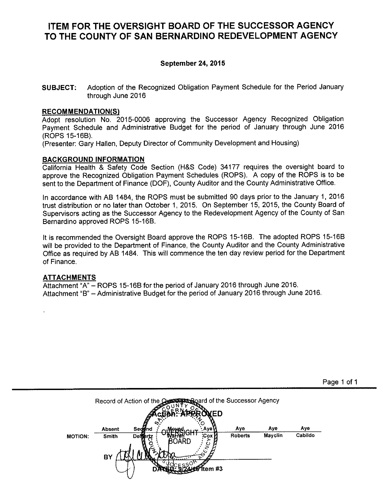### **ITEM FOR THE OVERSIGHT BOARD OF THE SUCCESSOR AGENCY** TO THE COUNTY OF SAN BERNARDINO REDEVELOPMENT AGENCY

#### September 24, 2015

Adoption of the Recognized Obligation Payment Schedule for the Period January **SUBJECT:** through June 2016

#### **RECOMMENDATION(S)**

Adopt resolution No. 2015-0006 approving the Successor Agency Recognized Obligation Payment Schedule and Administrative Budget for the period of January through June 2016 (ROPS 15-16B).

(Presenter: Gary Hallen, Deputy Director of Community Development and Housing)

#### **BACKGROUND INFORMATION**

California Health & Safety Code Section (H&S Code) 34177 requires the oversight board to approve the Recognized Obligation Payment Schedules (ROPS). A copy of the ROPS is to be sent to the Department of Finance (DOF), County Auditor and the County Administrative Office.

In accordance with AB 1484, the ROPS must be submitted 90 days prior to the January 1, 2016 trust distribution or no later than October 1, 2015. On September 15, 2015, the County Board of Supervisors acting as the Successor Agency to the Redevelopment Agency of the County of San Bernardino approved ROPS 15-16B.

It is recommended the Oversight Board approve the ROPS 15-16B. The adopted ROPS 15-16B will be provided to the Department of Finance, the County Auditor and the County Administrative Office as required by AB 1484. This will commence the ten day review period for the Department of Finance.

#### **ATTACHMENTS**

Attachment "A" - ROPS 15-16B for the period of January 2016 through June 2016. Attachment "B" - Administrative Budget for the period of January 2016 through June 2016.

|                |                        | Record of Action of the Quest Search of the Successor Agency<br><b>ТАРТ АРР</b><br><b>YED</b> |                       |                |                |
|----------------|------------------------|-----------------------------------------------------------------------------------------------|-----------------------|----------------|----------------|
| <b>MOTION:</b> | <b>Absent</b><br>Smith | ທ<br>Sedgna<br>∙ Aye\<br><b>PHAPIOLIT</b><br><b>Cox</b><br><b>Demortz</b><br>rren<br>BOARD    | Aye<br><b>Roberts</b> | Aye<br>Mayclin | Aye<br>Cabildo |
|                | BY                     | tem #3                                                                                        |                       |                |                |

Page 1 of 1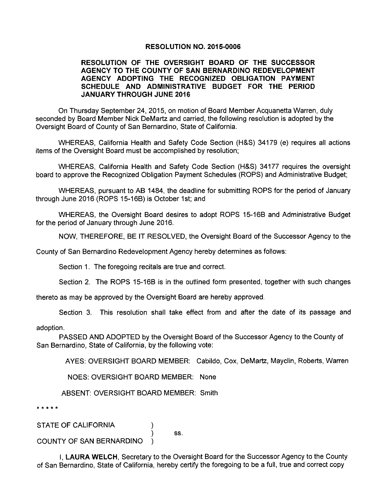#### **RESOLUTION NO. 2015-0006**

#### RESOLUTION OF THE OVERSIGHT BOARD OF THE SUCCESSOR AGENCY TO THE COUNTY OF SAN BERNARDINO REDEVELOPMENT AGENCY ADOPTING THE RECOGNIZED OBLIGATION PAYMENT SCHEDULE AND ADMINISTRATIVE BUDGET FOR THE PERIOD **JANUARY THROUGH JUNE 2016**

On Thursday September 24, 2015, on motion of Board Member Acquanetta Warren, duly seconded by Board Member Nick DeMartz and carried, the following resolution is adopted by the Oversight Board of County of San Bernardino, State of California.

WHEREAS, California Health and Safety Code Section (H&S) 34179 (e) requires all actions items of the Oversight Board must be accomplished by resolution;

WHEREAS, California Health and Safety Code Section (H&S) 34177 requires the oversight board to approve the Recognized Obligation Payment Schedules (ROPS) and Administrative Budget;

WHEREAS, pursuant to AB 1484, the deadline for submitting ROPS for the period of January through June 2016 (ROPS 15-16B) is October 1st; and

WHEREAS, the Oversight Board desires to adopt ROPS 15-16B and Administrative Budget for the period of January through June 2016.

NOW, THEREFORE, BE IT RESOLVED, the Oversight Board of the Successor Agency to the

County of San Bernardino Redevelopment Agency hereby determines as follows:

Section 1. The foregoing recitals are true and correct.

Section 2. The ROPS 15-16B is in the outlined form presented, together with such changes

thereto as may be approved by the Oversight Board are hereby approved.

Section 3. This resolution shall take effect from and after the date of its passage and

adoption.

PASSED AND ADOPTED by the Oversight Board of the Successor Agency to the County of San Bernardino, State of California, by the following vote:

AYES: OVERSIGHT BOARD MEMBER: Cabildo, Cox, DeMartz, Mayclin, Roberts, Warren

NOES: OVERSIGHT BOARD MEMBER: None

ABSENT: OVERSIGHT BOARD MEMBER: Smith

\* \* \* \* \*

**STATE OF CALIFORNIA** 

SS.

COUNTY OF SAN BERNARDINO

I. LAURA WELCH. Secretary to the Oversight Board for the Successor Agency to the County of San Bernardino. State of California, hereby certify the foregoing to be a full, true and correct copy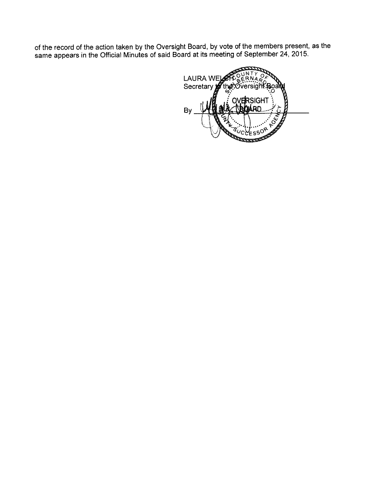of the record of the action taken by the Oversight Board, by vote of the members present, as the same appears in the Official Minutes of said Board at its meeting of September 24, 2015.

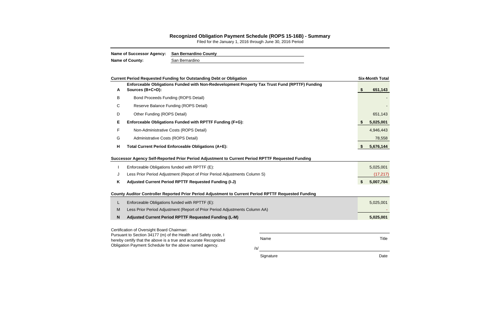/s/

Signature Date Date Date

#### **Recognized Obligation Payment Schedule (ROPS 15-16B) - Summary**

Filed for the January 1, 2016 through June 30, 2016 Period

| <b>Name of Successor Agency:</b> | <b>San Bernardino County</b> |
|----------------------------------|------------------------------|
| <b>Name of County:</b>           | San Bernardino               |

|                                                               | <b>Current Period Requested Funding for Outstanding Debt or Obligation</b>                                        |      |    | <b>Six-Month Total</b> |  |  |  |
|---------------------------------------------------------------|-------------------------------------------------------------------------------------------------------------------|------|----|------------------------|--|--|--|
| A                                                             | Enforceable Obligations Funded with Non-Redevelopment Property Tax Trust Fund (RPTTF) Funding<br>Sources (B+C+D): |      | \$ | 651,143                |  |  |  |
| B                                                             | <b>Bond Proceeds Funding (ROPS Detail)</b>                                                                        |      |    |                        |  |  |  |
| C                                                             | Reserve Balance Funding (ROPS Detail)                                                                             |      |    |                        |  |  |  |
| D                                                             | Other Funding (ROPS Detail)                                                                                       |      |    | 651,143                |  |  |  |
| Е<br>Enforceable Obligations Funded with RPTTF Funding (F+G): |                                                                                                                   |      |    |                        |  |  |  |
| F                                                             | Non-Administrative Costs (ROPS Detail)                                                                            |      |    | 4,946,443              |  |  |  |
| G                                                             | Administrative Costs (ROPS Detail)                                                                                |      |    | 78,558                 |  |  |  |
| н                                                             | Total Current Period Enforceable Obligations (A+E):                                                               |      | S. | 5,676,144              |  |  |  |
|                                                               | Successor Agency Self-Reported Prior Period Adjustment to Current Period RPTTF Requested Funding                  |      |    |                        |  |  |  |
|                                                               | Enforceable Obligations funded with RPTTF (E):                                                                    |      |    | 5,025,001              |  |  |  |
| J                                                             | Less Prior Period Adjustment (Report of Prior Period Adjustments Column S)                                        |      |    | (17, 217)              |  |  |  |
| K                                                             | Adjusted Current Period RPTTF Requested Funding (I-J)                                                             |      | \$ | 5,007,784              |  |  |  |
|                                                               | County Auditor Controller Reported Prior Period Adjustment to Current Period RPTTF Requested Funding              |      |    |                        |  |  |  |
| L                                                             | Enforceable Obligations funded with RPTTF (E):                                                                    |      |    | 5,025,001              |  |  |  |
| M                                                             | Less Prior Period Adjustment (Report of Prior Period Adjustments Column AA)                                       |      |    |                        |  |  |  |
| $\boldsymbol{\mathsf{N}}$                                     | Adjusted Current Period RPTTF Requested Funding (L-M)                                                             |      |    | 5,025,001              |  |  |  |
|                                                               | Certification of Oversight Board Chairman:<br>Pursuant to Section 34177 (m) of the Health and Safety code, I      |      |    |                        |  |  |  |
|                                                               | hereby certify that the above is a true and accurate Recognized                                                   | Name |    | Title                  |  |  |  |

Obligation Payment Schedule for the above named agency.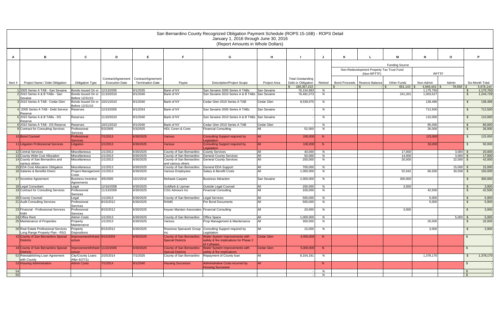|       |                                                                        | San Bernardino County Recognized Obligation Payment Schedule (ROPS 15-16B) - ROPS Detail<br>January 1, 2016 through June 30, 2016<br>(Report Amounts in Whole Dollars) |                       |                         |                                                                        |                                                                      |                     |                                     |         |                      |                                           |                        |                        |                 |                 |           |
|-------|------------------------------------------------------------------------|------------------------------------------------------------------------------------------------------------------------------------------------------------------------|-----------------------|-------------------------|------------------------------------------------------------------------|----------------------------------------------------------------------|---------------------|-------------------------------------|---------|----------------------|-------------------------------------------|------------------------|------------------------|-----------------|-----------------|-----------|
| A     | в                                                                      | C                                                                                                                                                                      | D                     | E                       |                                                                        | G                                                                    | H                   |                                     | J       |                      |                                           |                        | N                      | $\mathbf{o}$    | P               |           |
|       |                                                                        |                                                                                                                                                                        |                       |                         |                                                                        |                                                                      |                     |                                     |         |                      |                                           | <b>Funding Source</b>  |                        |                 |                 |           |
|       |                                                                        |                                                                                                                                                                        |                       |                         |                                                                        |                                                                      |                     |                                     |         |                      | Non-Redevelopment Property Tax Trust Fund |                        |                        |                 |                 |           |
|       |                                                                        |                                                                                                                                                                        |                       |                         |                                                                        |                                                                      |                     |                                     |         |                      | (Non-RPTTF)                               |                        | <b>RPTTF</b>           |                 |                 |           |
|       |                                                                        |                                                                                                                                                                        | Contract/Agreement    | Contract/Agreement      |                                                                        |                                                                      |                     | <b>Total Outstanding</b>            |         |                      |                                           |                        |                        |                 |                 |           |
| Item# | Project Name / Debt Obligation                                         | <b>Obligation Type</b>                                                                                                                                                 | <b>Execution Date</b> | <b>Termination Date</b> | Payee                                                                  | <b>Description/Project Scope</b>                                     | <b>Project Area</b> | Debt or Obligation<br>185, 357, 222 | Retired | <b>Bond Proceeds</b> | Reserve Balance                           | Other Funds<br>651,143 | Non-Admin<br>4,946,443 | Admin<br>78,558 | Six-Month Total | 5,676,144 |
|       | 2005 Series A TAB - San Sevaine                                        | Bonds Issued On or 12/13/2005                                                                                                                                          |                       | 9/1/2035                | Bank of NY                                                             | San Sevaine 2005 Series A TABs                                       | San Sevaine         | 76,154,983                          | N.      |                      |                                           |                        | 1,175,750              |                 | - \$            | 1,175,750 |
|       | 2 2010 Series A & B TABs - San<br>Sevaine                              | Bonds Issued On or 11/10/2010<br>Before 12/31/10                                                                                                                       |                       | 9/1/2040                | Bank of NY                                                             | San Sevaine 2010 Series A & B TABs San Sevaine                       |                     | 76,481,073                          | N       |                      |                                           | 241,201                | 1,003,527              |                 | - \$            | 1,244,728 |
|       | 3 2010 Series A TAB - Cedar Glen                                       | Bonds Issued On or 10/21/2010<br>Before 12/31/10                                                                                                                       |                       | 9/1/2040                | Bank of NY                                                             | Cedar Glen 2010 Series A TAB                                         | Cedar Glen          | 8,539,975                           | N       |                      |                                           |                        | 138,496                |                 | - \$            | 138,496   |
|       | 4 2005 Series A TAB - Debt Service                                     | <b>Reserves</b>                                                                                                                                                        | 12/13/2005            | 9/1/2034                | Bank of NY                                                             | San Sevaine 2005 Series A TABs                                       | San Sevaine         |                                     | N       |                      |                                           |                        | 712,500                |                 | - \$            | 712,500   |
|       | Reserve<br>5 2010 Series A & B TABs - DS                               | Reserves                                                                                                                                                               | 11/10/2010            | 9/1/2040                | Bank of NY                                                             | San Sevaine 2010 Series A & B TABs San Sevaine                       |                     |                                     | N.      |                      |                                           |                        | 110,000                |                 | - \$            | 110,000   |
|       | Reserve<br>6 2010 Series A TAB - DS Reserve                            | Reserves                                                                                                                                                               | 10/21/2010            | 9/1/2040                | Bank of NY                                                             | Cedar Glen 2010 Series A TAB                                         | Cedar Glen          |                                     | N.      |                      |                                           |                        | 85,000                 |                 | - \$            | 85,000    |
|       | 9 Contract for Consulting Services                                     | Professional                                                                                                                                                           | 5/3/2005              | 5/3/2025                | HDL Coren & Cone                                                       | <b>Financial Consulting</b>                                          |                     | 52,000                              | N       |                      |                                           |                        | 26,000                 |                 | - \$            | 26,000    |
|       |                                                                        | Services                                                                                                                                                               |                       |                         |                                                                        |                                                                      |                     |                                     |         |                      |                                           |                        |                        |                 |                 |           |
|       | 10 Bond Counsel                                                        | Professional<br><b>Services</b>                                                                                                                                        | 7/1/2013              | 6/30/2025               | <b>Various</b>                                                         | Consulting Support required by<br><b>Legislation</b>                 | <b>AII</b>          | 200,000                             | N       |                      |                                           |                        | 125,000                |                 | - \$            | 125,000   |
|       | 11 Litigation Professional Services                                    | Litigation                                                                                                                                                             | 1/1/2013              | 6/30/2025               | <b>Various</b>                                                         | Consulting Support required by<br><b>Leaislation</b>                 | AII                 | 100,000                             | N       |                      |                                           |                        | 50,000                 |                 | \$              | 50,000    |
|       | 12 Central Services                                                    | Miscellaneous                                                                                                                                                          | 1/1/2013              | 6/30/2025               | County of San Bernardino County Services                               |                                                                      | All                 | 40,000                              | N.      |                      |                                           | 17,000                 |                        | $3,000$ \$      |                 | 20,000    |
|       | 13 County Wide Cost Allocation                                         | <b>Miscellaneous</b>                                                                                                                                                   | 1/1/2013              | 6/30/2025               | County of San Bernardino General County Services                       |                                                                      | All                 | 50.000                              | N       |                      |                                           | 14,000                 |                        | $3.000$ \$      |                 | 17,000    |
|       | 14 County of San Bernardino and<br>various others                      | Miscellaneous                                                                                                                                                          | 1/1/2013              | 6/30/2025               | County of San Bernardino General County Services<br>and various others |                                                                      | $\Delta$ II         | 250,000                             | N       |                      |                                           | 20,000                 |                        | $22,000$ \$     |                 | 42,000    |
|       | 15 EDA Cost Allocation Obligation                                      | Miscellaneous                                                                                                                                                          | 1/1/2013              | 6/30/2025               | County of San Bernardino                                               | <b>General EDA Support</b>                                           | All                 | 700,000                             | N       |                      |                                           |                        |                        | $15,000$ \$     |                 | 15,000    |
|       | 16 Salaries & Benefits Direct                                          | Project Management 1/1/2013<br>Costs                                                                                                                                   |                       | 6/30/2025               | Various Employees                                                      | Salary & Benefit Costs                                               | All                 | 1,000,000                           | N.      |                      |                                           | 52,942                 | 66,500                 | $30,558$ \$     |                 | 150,000   |
|       | 17 Incentive Agreement                                                 | <b>Business Incentive</b><br>Agreements                                                                                                                                | 4/5/2005              | 10/1/2016               | <b>Mohawk Carpets</b>                                                  | <b>Business Attraction</b>                                           | <b>San Sevaine</b>  | 2,000,000                           | N       |                      |                                           | 300,000                |                        |                 | - \$            | 300,000   |
|       | 18 Legal Consultant                                                    | Legal                                                                                                                                                                  | 12/16/2008            | 6/30/2025               | Goldfarb & Lipman                                                      | Outside Legal Counsel                                                | All                 | 200,000                             | N       |                      |                                           | 3,000                  |                        |                 | <b>S</b>        | 3,000     |
|       | 19 Contract for Consulting Services                                    | Professional<br>Services                                                                                                                                               | 11/13/2009            | 6/30/2025               | <b>CSG Advisors Inc</b>                                                | <b>Financial Consulting</b>                                          | All                 | 100,000                             | N       |                      |                                           |                        | 42,500                 |                 | \$              | 42,500    |
|       | 20 County Counsel                                                      | Legal                                                                                                                                                                  | 1/1/2013              | 6/30/2025               | County of San Bernardino Legal Services                                |                                                                      | All                 | 500,000                             | N       |                      |                                           |                        | 5,000                  |                 | - \$            | 5,000     |
|       | 21 Audit Consulting Services                                           | Professional<br>Services                                                                                                                                               | 8/15/2012             | 6/30/2025               | <b>RAMS</b>                                                            | Per Bond Documents                                                   | $\Delta$ II         | 500,000                             | N       |                      |                                           |                        | 5,000                  |                 | \$              | 5,000     |
|       | 23 Financial - Professional Services<br>KMA                            | Professional<br>Services                                                                                                                                               | 8/15/2012             | 6/30/2025               | Keyser Marston Associates Financial Consulting                         |                                                                      | All                 | 20,000                              | N.      |                      |                                           | 3,000                  |                        |                 | \$              | 3,000     |
|       | 24 Office Rent                                                         | Admin Costs                                                                                                                                                            | 1/1/2013              | 6/30/2025               | County of San Bernardino   Office Space                                |                                                                      | All                 | 1,000,000                           | N       |                      |                                           |                        |                        | $5,000$ \$      |                 | 5,000     |
|       | 25 Maintenance of Properties                                           | Property<br>Maintenance                                                                                                                                                | 1/1/2013              | 6/30/2025               | Various                                                                | Prop Management & Maintenance                                        |                     | 300,000                             | N       |                      |                                           |                        | 20,000                 |                 | -\$             | 20,000    |
|       | 26 Real Estate Professional Services<br>Long Range Property Plan - RSG | Property<br><b>Dispositions</b>                                                                                                                                        | 8/15/2012             | 6/30/2025               | Inc                                                                    | Rosenow Spevacek Group Consulting Support required by<br>Legislation | AII                 | 15,000                              | N       |                      |                                           |                        | 3,000                  |                 | -\$             | 3,000     |
|       | 42 County of San Bernardino Special                                    | Improvement/Infrastr 9/15/2009                                                                                                                                         |                       | 6/30/2025               | County of San Bernardino                                               | Water System Improvements with                                       | Cedar Glen          | 4,000,000                           | N       |                      |                                           |                        |                        |                 | $\mathfrak{F}$  |           |
|       | Districts                                                              | ucture                                                                                                                                                                 |                       |                         | <b>Special Districts</b>                                               | safety & fire implications for Phase 2<br>of 4 phases.               |                     |                                     |         |                      |                                           |                        |                        |                 |                 |           |
|       | 44 County of San Bernardino Special<br><b>Districts</b>                | Improvement/Infrastr 11/22/2005<br>ucture                                                                                                                              |                       | 6/30/2025               | County of San Bernardino<br><b>Special Districts</b>                   | Water System Improvements with<br>safety & fire implications         | Cedar Glen          | 5,000,000                           | N       |                      |                                           |                        |                        |                 | -\$             |           |
|       | 52 Reestablishing Loan Agreement<br>with County                        | City/County Loans<br>After 6/27/11                                                                                                                                     | 2/25/2014             | 7/1/2025                | County of San Bernardino                                               | Repayment of County loan                                             | All                 | 8,154,191                           | N       |                      |                                           |                        | 1,378,170              |                 | \$              | 1,378,170 |
|       | 53 Housing Adminstration                                               | <b>Admin Costs</b>                                                                                                                                                     | 7/1/2014              | 9/1/2040                | <b>Housing Successor</b>                                               | Administrative Costs incurred by<br><b>Housing Successor</b>         | <b>JAIL</b>         |                                     | N       |                      |                                           |                        |                        |                 | $\sqrt{3}$      |           |
| 54    |                                                                        |                                                                                                                                                                        |                       |                         |                                                                        |                                                                      |                     |                                     | N       |                      |                                           |                        |                        |                 | \$              |           |
| 55    |                                                                        |                                                                                                                                                                        |                       |                         |                                                                        |                                                                      |                     |                                     | N       |                      |                                           |                        |                        |                 | $\mathbb{S}$    |           |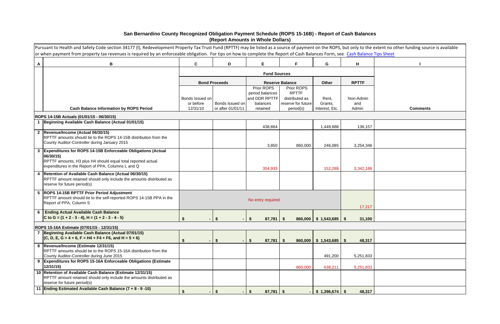|   | Pursuant to Health and Safety Code section 34177 (I), Redevelopment Property Tax Trust Fund (RPTTF) may be listed as a source of payment on the ROPS, but only to the extent no other funding source is available<br>or when payment from property tax revenues is required by an enforceable obligation. For tips on how to complete the Report of Cash Balances Form, see Cash Balance Tips Sheet |                              |                                      |                                          |                                 |                            |                |                 |
|---|-----------------------------------------------------------------------------------------------------------------------------------------------------------------------------------------------------------------------------------------------------------------------------------------------------------------------------------------------------------------------------------------------------|------------------------------|--------------------------------------|------------------------------------------|---------------------------------|----------------------------|----------------|-----------------|
| A | B                                                                                                                                                                                                                                                                                                                                                                                                   | $\mathbf{C}$                 | D                                    | E                                        | F.                              | G                          | H              |                 |
|   |                                                                                                                                                                                                                                                                                                                                                                                                     |                              |                                      | <b>Fund Sources</b>                      |                                 |                            |                |                 |
|   |                                                                                                                                                                                                                                                                                                                                                                                                     |                              | <b>Bond Proceeds</b>                 |                                          | <b>Reserve Balance</b>          | Other                      | <b>RPTTF</b>   |                 |
|   |                                                                                                                                                                                                                                                                                                                                                                                                     |                              |                                      | Prior ROPS<br>period balances            | Prior ROPS<br><b>RPTTF</b>      |                            |                |                 |
|   |                                                                                                                                                                                                                                                                                                                                                                                                     | Bonds Issued on<br>or before |                                      | and DDR RPTTF                            | distributed as                  | Rent,                      | Non-Admin      |                 |
|   | <b>Cash Balance Information by ROPS Period</b>                                                                                                                                                                                                                                                                                                                                                      | 12/31/10                     | Bonds Issued on<br>or after 01/01/11 | balances<br>retained                     | reserve for future<br>period(s) | Grants,<br>Interest, Etc.  | and<br>Admin   | <b>Comments</b> |
|   | ROPS 14-15B Actuals (01/01/15 - 06/30/15)                                                                                                                                                                                                                                                                                                                                                           |                              |                                      |                                          |                                 |                            |                |                 |
|   | 1 Beginning Available Cash Balance (Actual 01/01/15)                                                                                                                                                                                                                                                                                                                                                |                              |                                      | 438,864                                  |                                 | 1,449,888                  | 136,157        |                 |
|   | 2  Revenue/Income (Actual 06/30/15)                                                                                                                                                                                                                                                                                                                                                                 |                              |                                      |                                          |                                 |                            |                |                 |
|   | RPTTF amounts should tie to the ROPS 14-15B distribution from the                                                                                                                                                                                                                                                                                                                                   |                              |                                      |                                          |                                 |                            |                |                 |
|   | County Auditor-Controller during January 2015                                                                                                                                                                                                                                                                                                                                                       |                              |                                      | 3,850                                    | 860,000                         | 246,085                    | 3,254,346      |                 |
|   | 3 Expenditures for ROPS 14-15B Enforceable Obligations (Actual<br>06/30/15)                                                                                                                                                                                                                                                                                                                         |                              |                                      |                                          |                                 |                            |                |                 |
|   | RPTTF amounts, H3 plus H4 should equal total reported actual                                                                                                                                                                                                                                                                                                                                        |                              |                                      |                                          |                                 |                            |                |                 |
|   | expenditures in the Report of PPA, Columns L and Q                                                                                                                                                                                                                                                                                                                                                  |                              |                                      | 354,933                                  |                                 | 152,288                    | 3,342,186      |                 |
|   | 4   Retention of Available Cash Balance (Actual 06/30/15)<br>RPTTF amount retained should only include the amounts distributed as                                                                                                                                                                                                                                                                   |                              |                                      |                                          |                                 |                            |                |                 |
|   | reserve for future period(s)                                                                                                                                                                                                                                                                                                                                                                        |                              |                                      |                                          |                                 |                            |                |                 |
|   | 5  ROPS 14-15B RPTTF Prior Period Adjustment                                                                                                                                                                                                                                                                                                                                                        |                              |                                      |                                          |                                 |                            |                |                 |
|   | RPTTF amount should tie to the self-reported ROPS 14-15B PPA in the<br>Report of PPA, Column S                                                                                                                                                                                                                                                                                                      |                              |                                      | No entry required                        |                                 |                            |                |                 |
|   |                                                                                                                                                                                                                                                                                                                                                                                                     |                              |                                      |                                          |                                 |                            | 17,217         |                 |
| 6 | <b>Ending Actual Available Cash Balance</b><br>C to G = $(1 + 2 - 3 - 4)$ , H = $(1 + 2 - 3 - 4 - 5)$                                                                                                                                                                                                                                                                                               | \$.                          |                                      | 87,781                                   | $\sqrt{3}$                      | 860,000   \$ 1,543,685     | 31,100         |                 |
|   | ROPS 15-16A Estimate (07/01/15 - 12/31/15)                                                                                                                                                                                                                                                                                                                                                          |                              |                                      |                                          |                                 |                            |                |                 |
|   | Beginning Available Cash Balance (Actual 07/01/15)                                                                                                                                                                                                                                                                                                                                                  |                              |                                      |                                          |                                 |                            |                |                 |
|   | $(C, D, E, G = 4 + 6, F = H4 + F4 + F6, and H = 5 + 6)$                                                                                                                                                                                                                                                                                                                                             | Ŝ.<br>$\blacksquare$         | \$                                   | $87,781$ \$<br>\$                        | 860,000                         | $\frac{1}{5}$ \$ 1,543,685 | - \$<br>48,317 |                 |
|   | 8  Revenue/Income (Estimate 12/31/15)                                                                                                                                                                                                                                                                                                                                                               |                              |                                      |                                          |                                 |                            |                |                 |
|   | RPTTF amounts should tie to the ROPS 15-16A distribution from the<br>County Auditor-Controller during June 2015                                                                                                                                                                                                                                                                                     |                              |                                      |                                          |                                 | 491,200                    | 5,251,833      |                 |
|   | 9 Expenditures for ROPS 15-16A Enforceable Obligations (Estimate<br>12/31/15)                                                                                                                                                                                                                                                                                                                       |                              |                                      |                                          | 860,000                         | 638,211                    | 5,251,833      |                 |
|   | 10 Retention of Available Cash Balance (Estimate 12/31/15)                                                                                                                                                                                                                                                                                                                                          |                              |                                      |                                          |                                 |                            |                |                 |
|   | RPTTF amount retained should only include the amounts distributed as<br>reserve for future period(s)                                                                                                                                                                                                                                                                                                |                              |                                      |                                          |                                 |                            |                |                 |
|   | 11 Ending Estimated Available Cash Balance (7 + 8 - 9 -10)                                                                                                                                                                                                                                                                                                                                          | \$                           | \$                                   | $87,781$ \$<br>$\boldsymbol{\mathsf{s}}$ |                                 | $$1,396,674$ \ \$          | 48,317         |                 |

### **San Bernardino County Recognized Obligation Payment Schedule (ROPS 15-16B) - Report of Cash Balances (Report Amounts in Whole Dollars)**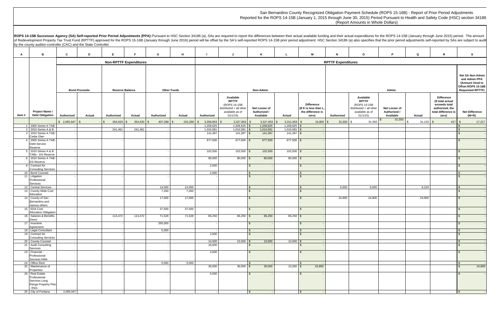|                                               | P                                          | Q            | R                                                                                                  | s                                                                                                     |
|-----------------------------------------------|--------------------------------------------|--------------|----------------------------------------------------------------------------------------------------|-------------------------------------------------------------------------------------------------------|
|                                               |                                            |              |                                                                                                    |                                                                                                       |
|                                               | Admin                                      |              |                                                                                                    | Net SA Non-Admin<br>and Admin PPA<br>(Amount Used to<br>Offset ROPS 15-16B<br><b>Requested RPTTF)</b> |
| ۱le<br>F.<br>-15B<br>all other<br>as of<br>5) | Net Lesser of<br>Authorized /<br>Available | Actual       | Difference<br>(If total actual<br>exceeds total<br>authorized, the<br>total difference is<br>zero) | <b>Net Difference</b><br>(M+R)                                                                        |
| 31,550                                        | \$<br>31,550                               | \$<br>31,133 | \$<br>417                                                                                          | \$<br>17,217                                                                                          |
|                                               |                                            |              |                                                                                                    | \$<br>$$\mathfrak{s}$$                                                                                |
|                                               |                                            |              |                                                                                                    | \$                                                                                                    |
|                                               |                                            |              |                                                                                                    | \$                                                                                                    |
|                                               |                                            |              |                                                                                                    | \$                                                                                                    |
|                                               |                                            |              |                                                                                                    | $\,$                                                                                                  |
|                                               |                                            |              |                                                                                                    | \$                                                                                                    |
|                                               |                                            |              |                                                                                                    | \$                                                                                                    |
|                                               |                                            |              |                                                                                                    | \$                                                                                                    |
| 6,650                                         |                                            | 6,233        |                                                                                                    | $\frac{1}{2}$                                                                                         |
|                                               |                                            |              |                                                                                                    | \$                                                                                                    |
| 24,900                                        |                                            | 24,900       |                                                                                                    | \$                                                                                                    |
|                                               |                                            |              |                                                                                                    | \$                                                                                                    |
|                                               |                                            |              |                                                                                                    | \$                                                                                                    |
|                                               |                                            |              |                                                                                                    | \$                                                                                                    |
|                                               |                                            |              |                                                                                                    | $$\mathfrak{s}$$<br>\$                                                                                |
|                                               |                                            |              |                                                                                                    |                                                                                                       |
|                                               |                                            |              |                                                                                                    | $\sqrt[6]{\frac{1}{2}}$<br>$\sqrt[6]{\frac{1}{2}}$                                                    |
|                                               |                                            |              |                                                                                                    | \$                                                                                                    |
|                                               |                                            |              |                                                                                                    | $\sqrt[6]{\frac{2}{5}}$                                                                               |
|                                               |                                            |              |                                                                                                    | \$<br>16,800                                                                                          |
|                                               |                                            |              |                                                                                                    | \$                                                                                                    |
|                                               |                                            |              |                                                                                                    |                                                                                                       |

|       | by the county auditor-controller (CAC) and the State Controller.        |                  |                      |                               |              |                    |         |                        |                                                                                                    |                                            |                            |                                                                         |                           | of Redevelopment Property Tax Trust Fund (RPTTF) approved for the ROPS 15-16B (January through June 2016) period will be offset by the SA's self-reported ROPS 14-15B prior period adjustment. HSC Section 34186 (a) also spec |                                            |                    |                                                                                                           |                                                                                                              |
|-------|-------------------------------------------------------------------------|------------------|----------------------|-------------------------------|--------------|--------------------|---------|------------------------|----------------------------------------------------------------------------------------------------|--------------------------------------------|----------------------------|-------------------------------------------------------------------------|---------------------------|--------------------------------------------------------------------------------------------------------------------------------------------------------------------------------------------------------------------------------|--------------------------------------------|--------------------|-----------------------------------------------------------------------------------------------------------|--------------------------------------------------------------------------------------------------------------|
|       | в                                                                       | $\mathbf{c}$     | D                    | E                             |              | G                  | H       |                        | J                                                                                                  | K                                          |                            | M                                                                       | N                         | $\circ$                                                                                                                                                                                                                        | D                                          | Q                  | R                                                                                                         |                                                                                                              |
| A     |                                                                         |                  |                      |                               |              |                    |         |                        |                                                                                                    |                                            |                            |                                                                         |                           |                                                                                                                                                                                                                                |                                            |                    |                                                                                                           | S.                                                                                                           |
|       |                                                                         |                  |                      | <b>Non-RPTTF Expenditures</b> |              |                    |         |                        |                                                                                                    |                                            |                            |                                                                         | <b>RPTTF Expenditures</b> |                                                                                                                                                                                                                                |                                            |                    |                                                                                                           |                                                                                                              |
|       |                                                                         |                  | <b>Bond Proceeds</b> | <b>Reserve Balance</b>        |              | <b>Other Funds</b> |         |                        |                                                                                                    | Non-Admin                                  |                            |                                                                         |                           |                                                                                                                                                                                                                                | Admin                                      |                    |                                                                                                           | <b>Net SA Non-Admin</b><br>and Admin PPA<br>(Amount Used to<br>Offset ROPS 15-16B<br><b>Requested RPTTF)</b> |
| Item# | Project Name /<br><b>Debt Obligation</b>                                | Authorized       | Actual               | Authorized                    | Actual       | Authorized         | Actual  | Authorized             | Available<br><b>RPTTF</b><br>(ROPS 14-15B<br>distributed + all other<br>available as of<br>01/1/15 | Net Lesser of<br>Authorized /<br>Available | Actual                     | <b>Difference</b><br>(If K is less than L<br>the difference is<br>zero) | Authorized                | Available<br><b>RPTTF</b><br>(ROPS 14-15B<br>distributed + all other<br>available as of<br>01/1/15)                                                                                                                            | Net Lesser of<br>Authorized /<br>Available | Actual             | <b>Difference</b><br>(If total actual<br>exceeds total<br>authorized, the<br>total difference is<br>zero) | <b>Net Difference</b><br>$(M+R)$                                                                             |
|       |                                                                         | $$2,065,947$ \\$ |                      | 354,933<br>$\mathbb{S}$       | $354,933$ \$ | 407,288<br>-S      | 152,288 | 3,358,853              | $3,327,853$ \$                                                                                     | 3,327,853                                  | 3,311,053                  | 16,800                                                                  | $31,550$ \$               | 31,550                                                                                                                                                                                                                         | 31,550                                     | $31,133$ \$<br>l S | 417                                                                                                       | 17,217<br>\$                                                                                                 |
|       | 1 2005 Series A TAB<br>2 2010 Series A & B                              |                  |                      | 241,461                       | 241,461      |                    |         | 1,209,625<br>1,010,581 | $1,209,625$ \$<br>$1,010,581$ \$                                                                   | 1,209,625<br>1,010,581                     | 1,209,625<br>1,010,581     |                                                                         |                           |                                                                                                                                                                                                                                |                                            |                    |                                                                                                           |                                                                                                              |
|       | 3 2010 Series A TAB                                                     |                  |                      |                               |              |                    |         | 141,397                | $141,397$ \$                                                                                       | 141,397                                    | $141,397$ $\left  \right $ |                                                                         |                           |                                                                                                                                                                                                                                |                                            |                    |                                                                                                           |                                                                                                              |
|       | Cedar Glen<br>4 2005 Series A TAB<br>Debt Service                       |                  |                      |                               |              |                    |         | 677,500                | 677,500 \$                                                                                         | 677,500                                    | 677,500 \$                 |                                                                         |                           |                                                                                                                                                                                                                                |                                            |                    |                                                                                                           |                                                                                                              |
|       | Reserve<br>5 2010 Series A & B                                          |                  |                      |                               |              |                    |         | 102,500                | $102,500$ \$                                                                                       | 102,500                                    | $102,500$ \$               |                                                                         |                           |                                                                                                                                                                                                                                |                                            |                    |                                                                                                           |                                                                                                              |
|       | TABs - DS Reserve                                                       |                  |                      |                               |              |                    |         |                        |                                                                                                    |                                            |                            |                                                                         |                           |                                                                                                                                                                                                                                |                                            |                    |                                                                                                           |                                                                                                              |
|       | 6 2010 Series A TAB<br><b>DS Reserve</b>                                |                  |                      |                               |              |                    |         | 80,000                 | $80,000$ \$                                                                                        | 80,000                                     | $80,000$ \$                |                                                                         |                           |                                                                                                                                                                                                                                |                                            |                    |                                                                                                           |                                                                                                              |
|       | 9 Contract for<br><b>Consulting Services</b>                            |                  |                      |                               |              |                    |         | 2,000                  |                                                                                                    | $\sqrt{3}$                                 |                            |                                                                         |                           |                                                                                                                                                                                                                                |                                            |                    |                                                                                                           |                                                                                                              |
|       | 10 Bond Counsel                                                         |                  |                      |                               |              |                    |         | 2,000                  |                                                                                                    | $\sqrt{3}$                                 |                            |                                                                         |                           |                                                                                                                                                                                                                                |                                            |                    |                                                                                                           |                                                                                                              |
|       | 11 Litigation<br>Professional<br><b>Services</b>                        |                  |                      |                               |              |                    |         |                        |                                                                                                    |                                            |                            |                                                                         |                           |                                                                                                                                                                                                                                |                                            |                    |                                                                                                           |                                                                                                              |
|       | 12 Central Services                                                     |                  |                      |                               |              | 14,000             | 14,000  |                        |                                                                                                    | I S                                        |                            |                                                                         | 6,650                     | 6,650                                                                                                                                                                                                                          |                                            | 6,233              |                                                                                                           |                                                                                                              |
|       | 13 County Wide Cost<br>Allocation                                       |                  |                      |                               |              | 7,260              | 7,260   |                        |                                                                                                    |                                            |                            |                                                                         |                           |                                                                                                                                                                                                                                |                                            |                    |                                                                                                           |                                                                                                              |
|       | 14 County of San<br>Bernardino and<br>various others                    |                  |                      |                               |              | 17,000             | 17,000  |                        |                                                                                                    |                                            |                            |                                                                         | 24,900                    | 24,900                                                                                                                                                                                                                         |                                            | 24,900             |                                                                                                           |                                                                                                              |
|       | 15 EDA Cost                                                             |                  |                      |                               |              | 37,500             | 37,500  |                        |                                                                                                    | <b>S</b>                                   |                            | $\sqrt{s}$                                                              |                           |                                                                                                                                                                                                                                |                                            |                    |                                                                                                           |                                                                                                              |
|       | <b>Allocation Obligation</b><br>16 Salaries & Benefits<br><b>Direct</b> |                  |                      | 113,472                       | 113,472      | 71,528             | 71,528  | 66,250                 | $66,250$ \$                                                                                        | 66,250                                     | $66,250$ \$                |                                                                         |                           |                                                                                                                                                                                                                                |                                            |                    |                                                                                                           |                                                                                                              |
|       | 17 Incentive<br>Agreement                                               |                  |                      |                               |              | 250,000            |         |                        |                                                                                                    | $\mathsf{R}$                               |                            |                                                                         |                           |                                                                                                                                                                                                                                |                                            |                    |                                                                                                           |                                                                                                              |
|       | 18 Legal Consultant                                                     |                  |                      |                               |              | 5,000              |         |                        |                                                                                                    | $\mathsf{R}$                               |                            |                                                                         |                           |                                                                                                                                                                                                                                |                                            |                    |                                                                                                           |                                                                                                              |
|       | 19 Contract for<br><b>Consulting Services</b>                           |                  |                      |                               |              |                    |         | 2,000                  |                                                                                                    | $\mathbb{R}$                               |                            |                                                                         |                           |                                                                                                                                                                                                                                |                                            |                    |                                                                                                           |                                                                                                              |
|       | 20 County Counsel                                                       |                  |                      |                               |              |                    |         | 10,000                 | $10,000$ \$                                                                                        | 10,000                                     | 10,000                     |                                                                         |                           |                                                                                                                                                                                                                                |                                            |                    |                                                                                                           |                                                                                                              |
|       | 21 Audit Consulting<br>Services                                         |                  |                      |                               |              |                    |         | 16,000                 |                                                                                                    | l \$                                       |                            |                                                                         |                           |                                                                                                                                                                                                                                |                                            |                    |                                                                                                           |                                                                                                              |
|       | 23 Financial -<br>Professional                                          |                  |                      |                               |              |                    |         | 4,000                  |                                                                                                    | $\mathbb{R}$                               |                            |                                                                         |                           |                                                                                                                                                                                                                                |                                            |                    |                                                                                                           |                                                                                                              |
|       | Services KMA<br>24 Office Rent                                          |                  |                      |                               |              | 5,000              | 5,000   |                        |                                                                                                    | $\mathsf{R}$                               |                            |                                                                         |                           |                                                                                                                                                                                                                                |                                            |                    |                                                                                                           |                                                                                                              |
|       | 25 Maintenance of<br>Properties                                         |                  |                      |                               |              |                    |         | 30,000                 | $30,000$ \ \ \$                                                                                    | 30,000                                     |                            | 16,800                                                                  |                           |                                                                                                                                                                                                                                |                                            |                    |                                                                                                           | 16,800                                                                                                       |
|       | 26 Real Estate<br>Professional<br>Services Long                         |                  |                      |                               |              |                    |         | 5,000                  |                                                                                                    | ∣\$.                                       |                            | $\sqrt{S}$                                                              |                           |                                                                                                                                                                                                                                |                                            |                    |                                                                                                           |                                                                                                              |
|       | Range Property Plan<br>RSG<br>35 City of Fontana                        | 2,065,947        |                      |                               |              |                    |         |                        |                                                                                                    | $\mathsf{s}$                               |                            |                                                                         |                           |                                                                                                                                                                                                                                |                                            |                    |                                                                                                           |                                                                                                              |

San Bernardino County Recognized Obligation Payment Schedule (ROPS 15-16B) - Report of Prior Period Adjustments Reported for the ROPS 14-15B (January 1, 2015 through June 30, 2015) Period Pursuant to Health and Safety Code (HSC) section 34186

# (Report Amounts in Whole Dollars)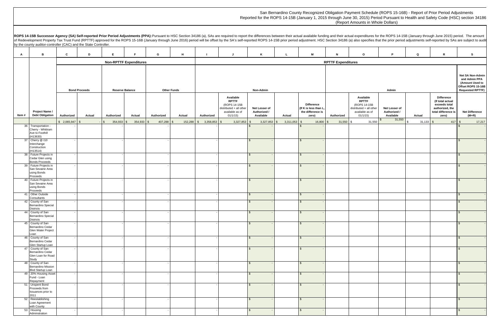|                                              | P                                          | Q             | R                                                                                                         | s                                                                                                     |
|----------------------------------------------|--------------------------------------------|---------------|-----------------------------------------------------------------------------------------------------------|-------------------------------------------------------------------------------------------------------|
|                                              |                                            |               |                                                                                                           |                                                                                                       |
|                                              | Admin                                      |               |                                                                                                           | Net SA Non-Admin<br>and Admin PPA<br>(Amount Used to<br>Offset ROPS 15-16B<br><b>Requested RPTTF)</b> |
| ۱е<br>E.<br>-15B<br>all other<br>as of<br>5) | Net Lesser of<br>Authorized /<br>Available | <b>Actual</b> | <b>Difference</b><br>(If total actual<br>exceeds total<br>authorized, the<br>total difference is<br>zero) | <b>Net Difference</b><br>$(M+R)$                                                                      |
| 31,550                                       | 31,550<br>\$                               | \$<br>31,133  | \$<br>417                                                                                                 | \$<br>17,217                                                                                          |
|                                              |                                            |               |                                                                                                           | \$<br>\$                                                                                              |
|                                              |                                            |               |                                                                                                           |                                                                                                       |
|                                              |                                            |               |                                                                                                           | \$                                                                                                    |
|                                              |                                            |               |                                                                                                           | \$                                                                                                    |
|                                              |                                            |               |                                                                                                           | \$                                                                                                    |
|                                              |                                            |               |                                                                                                           | \$                                                                                                    |
|                                              |                                            |               |                                                                                                           | \$                                                                                                    |
|                                              |                                            |               |                                                                                                           | \$                                                                                                    |
|                                              |                                            |               |                                                                                                           | $$\mathfrak{s}$$                                                                                      |
|                                              |                                            |               |                                                                                                           | \$                                                                                                    |
|                                              |                                            |               |                                                                                                           | \$                                                                                                    |
|                                              |                                            |               |                                                                                                           | $$\mathfrak{s}$$                                                                                      |
|                                              |                                            |               |                                                                                                           | \$                                                                                                    |
|                                              |                                            |               |                                                                                                           | \$                                                                                                    |
|                                              |                                            |               |                                                                                                           | \$                                                                                                    |
|                                              |                                            |               |                                                                                                           |                                                                                                       |

| San Bernardino County Recognized Obligation Payment Schedule (ROPS 15-16B) - Report of Prior Period Adjustments                    |
|------------------------------------------------------------------------------------------------------------------------------------|
| Reported for the ROPS 14-15B (January 1, 2015 through June 30, 2015) Period Pursuant to Health and Safety Code (HSC) section 34186 |
| (Report Amounts in Whole Dollars)                                                                                                  |

# (Report Amounts in Whole Dollars)

|        |                                                                           |                                                                      |        |                       |                               |                 |                 |                            |                                                                                                    |                                            |                       |                                                                          |                           |                                                                                                    | ROPS 14-15B Successor Agency (SA) Self-reported Prior Period Adjustments (PPA): Pursuant to HSC Section 34186 (a), SAs are required to report the differences between their actual available funding and their actual expendit<br>of Redevelopment Property Tax Trust Fund (RPTTF) approved for the ROPS 15-16B (January through June 2016) period will be offset by the SA's self-reported ROPS 14-15B prior period adjustment. HSC Section 34186 (a) also spec |             |                                                                                                           |                                  |
|--------|---------------------------------------------------------------------------|----------------------------------------------------------------------|--------|-----------------------|-------------------------------|-----------------|-----------------|----------------------------|----------------------------------------------------------------------------------------------------|--------------------------------------------|-----------------------|--------------------------------------------------------------------------|---------------------------|----------------------------------------------------------------------------------------------------|------------------------------------------------------------------------------------------------------------------------------------------------------------------------------------------------------------------------------------------------------------------------------------------------------------------------------------------------------------------------------------------------------------------------------------------------------------------|-------------|-----------------------------------------------------------------------------------------------------------|----------------------------------|
|        | by the county auditor-controller (CAC) and the State Controller.          |                                                                      |        |                       |                               |                 |                 |                            |                                                                                                    |                                            |                       |                                                                          |                           |                                                                                                    |                                                                                                                                                                                                                                                                                                                                                                                                                                                                  |             |                                                                                                           |                                  |
| A      | B                                                                         | C                                                                    | D      | E.                    | F.                            | G               | H               |                            | J                                                                                                  | K                                          | L                     | M                                                                        | N                         | $\circ$                                                                                            | P.                                                                                                                                                                                                                                                                                                                                                                                                                                                               | Q           | R                                                                                                         | <b>S</b>                         |
|        |                                                                           |                                                                      |        |                       | <b>Non-RPTTF Expenditures</b> |                 |                 |                            |                                                                                                    |                                            |                       |                                                                          | <b>RPTTF Expenditures</b> |                                                                                                    |                                                                                                                                                                                                                                                                                                                                                                                                                                                                  |             |                                                                                                           |                                  |
|        |                                                                           | <b>Bond Proceeds</b><br><b>Reserve Balance</b><br><b>Other Funds</b> |        |                       | Non-Admin                     |                 |                 |                            |                                                                                                    |                                            | Admin                 |                                                                          |                           |                                                                                                    |                                                                                                                                                                                                                                                                                                                                                                                                                                                                  |             |                                                                                                           |                                  |
| Item # | Project Name /<br><b>Debt Obligation</b>                                  | Authorized                                                           | Actual | Authorized            | Actual                        | Authorized      | Actual          | Authorized                 | Available<br><b>RPTTF</b><br>(ROPS 14-15B<br>distributed + all other<br>available as of<br>01/1/15 | Net Lesser of<br>Authorized /<br>Available | Actual                | <b>Difference</b><br>(If K is less than L,<br>the difference is<br>zero) | Authorized                | Available<br><b>RPTTF</b><br>(ROPS 14-15B<br>distributed + all other<br>available as of<br>01/1/15 | Net Lesser of<br>Authorized /<br>Available                                                                                                                                                                                                                                                                                                                                                                                                                       | Actual      | <b>Difference</b><br>(If total actual<br>exceeds total<br>authorized, the<br>total difference is<br>zero) | <b>Net Difference</b><br>$(M+R)$ |
|        |                                                                           | \$2,065,947                                                          |        | 354,933<br>$\sqrt{3}$ | 354,933<br>-96                | 407,288<br>l SS | 152,288<br>- \$ | 3,358,853<br>$\mathcal{S}$ | 3,327,853<br>-\$                                                                                   | 3,327,853                                  | 3,311,053<br><b>S</b> | 16,800                                                                   | 31,550                    | 31,550                                                                                             | 31,550                                                                                                                                                                                                                                                                                                                                                                                                                                                           | $31,133$ \$ | 417                                                                                                       | 17,217<br>\$                     |
|        | 36 Transportation -<br>Cherry - Whittram<br>Ave to Foothill<br>(H13630)   |                                                                      |        |                       |                               |                 |                 |                            |                                                                                                    |                                            |                       |                                                                          |                           |                                                                                                    |                                                                                                                                                                                                                                                                                                                                                                                                                                                                  |             |                                                                                                           |                                  |
|        | 37 Cherry @ 110<br>nterchange<br>Construction<br>(H13514)                 |                                                                      |        |                       |                               |                 |                 |                            |                                                                                                    |                                            |                       |                                                                          |                           |                                                                                                    |                                                                                                                                                                                                                                                                                                                                                                                                                                                                  |             |                                                                                                           |                                  |
|        | 38 Future Projects in<br>Cedar Glen using<br><b>Bonds Proceeds</b>        |                                                                      |        |                       |                               |                 |                 |                            |                                                                                                    |                                            |                       |                                                                          |                           |                                                                                                    |                                                                                                                                                                                                                                                                                                                                                                                                                                                                  |             |                                                                                                           |                                  |
|        | 39 Future Projects in<br>San Sevaine Area<br>using Bonds<br>Proceeds      |                                                                      |        |                       |                               |                 |                 |                            |                                                                                                    |                                            |                       | $\mathcal{S}$                                                            |                           |                                                                                                    |                                                                                                                                                                                                                                                                                                                                                                                                                                                                  |             |                                                                                                           |                                  |
|        | 40 Future Projects in<br>San Sevaine Area<br>using Bonds<br>Proceeds      |                                                                      |        |                       |                               |                 |                 |                            |                                                                                                    |                                            |                       |                                                                          |                           |                                                                                                    |                                                                                                                                                                                                                                                                                                                                                                                                                                                                  |             |                                                                                                           |                                  |
|        | 41 Other Outside<br>Consultants                                           |                                                                      |        |                       |                               |                 |                 |                            |                                                                                                    | $\mathcal{L}$                              |                       | $\mathcal{S}$                                                            |                           |                                                                                                    |                                                                                                                                                                                                                                                                                                                                                                                                                                                                  |             |                                                                                                           |                                  |
|        | 42 County of San<br>Bernardino Special<br><b>Districts</b>                |                                                                      |        |                       |                               |                 |                 |                            |                                                                                                    |                                            |                       |                                                                          |                           |                                                                                                    |                                                                                                                                                                                                                                                                                                                                                                                                                                                                  |             |                                                                                                           |                                  |
|        | 44 County of San<br><b>Bernardino Special</b><br><b>Districts</b>         |                                                                      |        |                       |                               |                 |                 |                            |                                                                                                    |                                            |                       |                                                                          |                           |                                                                                                    |                                                                                                                                                                                                                                                                                                                                                                                                                                                                  |             |                                                                                                           |                                  |
|        | 45 County of San<br>Bernardino Cedar<br>Glen Water Project<br>Loan        |                                                                      |        |                       |                               |                 |                 |                            |                                                                                                    |                                            |                       |                                                                          |                           |                                                                                                    |                                                                                                                                                                                                                                                                                                                                                                                                                                                                  |             |                                                                                                           |                                  |
|        | 46 County of San<br>Bernardino Cedar<br>Glen Startup Loan                 |                                                                      |        |                       |                               |                 |                 |                            |                                                                                                    |                                            |                       |                                                                          |                           |                                                                                                    |                                                                                                                                                                                                                                                                                                                                                                                                                                                                  |             |                                                                                                           |                                  |
|        | 47 County of San<br>Bernardino Cedar<br>Glen Loan for Road<br>Study       |                                                                      |        |                       |                               |                 |                 |                            |                                                                                                    |                                            |                       | $\mathcal{F}$                                                            |                           |                                                                                                    |                                                                                                                                                                                                                                                                                                                                                                                                                                                                  |             |                                                                                                           |                                  |
|        | 48 County of San<br><b>Bernardino Mission</b><br><b>Blvd Startup Loan</b> |                                                                      |        |                       |                               |                 |                 |                            |                                                                                                    |                                            |                       | . ፍ                                                                      |                           |                                                                                                    |                                                                                                                                                                                                                                                                                                                                                                                                                                                                  |             |                                                                                                           |                                  |
|        | 49 20% Housing Asset<br>Fund - Loan<br>Repayment                          |                                                                      |        |                       |                               |                 |                 |                            |                                                                                                    |                                            |                       |                                                                          |                           |                                                                                                    |                                                                                                                                                                                                                                                                                                                                                                                                                                                                  |             |                                                                                                           |                                  |
|        | 51 Unspent Bond<br>Proceeds from<br>Issuances prior to<br>2011            |                                                                      |        |                       |                               |                 |                 |                            |                                                                                                    |                                            |                       |                                                                          |                           |                                                                                                    |                                                                                                                                                                                                                                                                                                                                                                                                                                                                  |             |                                                                                                           |                                  |
|        | 52 Reestablishing<br>Loan Agreement<br>with County                        |                                                                      |        |                       |                               |                 |                 |                            |                                                                                                    |                                            |                       | $\mathcal{L}$                                                            |                           |                                                                                                    |                                                                                                                                                                                                                                                                                                                                                                                                                                                                  |             |                                                                                                           |                                  |
|        | 53 Housing<br>Adminstration                                               |                                                                      |        |                       |                               |                 |                 |                            |                                                                                                    |                                            |                       | $\mathcal{S}$                                                            |                           |                                                                                                    |                                                                                                                                                                                                                                                                                                                                                                                                                                                                  |             |                                                                                                           | \$                               |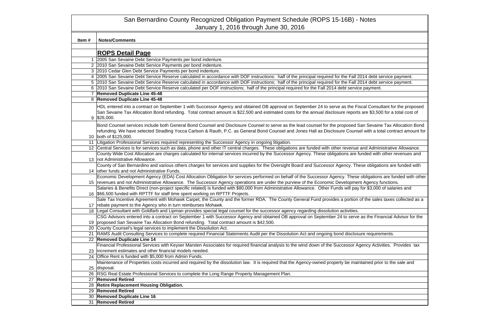|       | San Bernardino County Recognized Obligation Payment Schedule (ROPS 15-16B) - Notes                                                                                                                                                                                                                                                                       |
|-------|----------------------------------------------------------------------------------------------------------------------------------------------------------------------------------------------------------------------------------------------------------------------------------------------------------------------------------------------------------|
|       | January 1, 2016 through June 30, 2016                                                                                                                                                                                                                                                                                                                    |
|       |                                                                                                                                                                                                                                                                                                                                                          |
| Item# | <b>Notes/Comments</b>                                                                                                                                                                                                                                                                                                                                    |
|       |                                                                                                                                                                                                                                                                                                                                                          |
|       | <b>ROPS Detail Page</b>                                                                                                                                                                                                                                                                                                                                  |
|       | 2005 San Sevaine Debt Service Payments per bond indenture.                                                                                                                                                                                                                                                                                               |
|       | 2 2010 San Sevaine Debt Service Payments per bond indenture.                                                                                                                                                                                                                                                                                             |
|       | 3 2010 Cedar Glen Debt Service Payments per bond indenture.                                                                                                                                                                                                                                                                                              |
|       | 4 2005 San Sevaine Debt Service Reserve calculated in accordance with DOF instructions: half of the principal required for the Fall 2014 debt service payment.                                                                                                                                                                                           |
|       | 5 2010 San Sevaine Debt Service Reserve calculated in accordance with DOF instructions; half of the principal required for the Fall 2014 debt service payment.                                                                                                                                                                                           |
|       | 6 2010 San Sevaine Debt Service Reserve calculated per DOF instructions; half of the principal required for the Fall 2014 debt service payment.                                                                                                                                                                                                          |
|       | <b>Removed Duplicate Line 45-48</b>                                                                                                                                                                                                                                                                                                                      |
|       | 8 Removed Duplicate Line 45-48                                                                                                                                                                                                                                                                                                                           |
|       | HDL entered into a contract on September 1 with Successor Agency and obtained OB approval on September 24 to serve as the Fiscal Consultant for the proposed<br>San Sevaine Tax Allocation Bond refunding. Total contract amount is \$22,500 and estimated costs for the annual disclosure reports are \$3,500 for a total cost of<br>$9$ \$26,000.      |
|       | Bond Counsel services include both General Bond Counsel and Disclosure Counsel to serve as the lead counsel for the proposed San Sevaine Tax Allocation Bond<br>refunding. We have selected Stradling Yocca Carlson & Rauth, P.C. as General Bond Counsel and Jones Hall as Disclosure Counsel with a total contract amount for<br>10 both of \$125,000. |
|       | Litigation Professional Services required representing the Successor Agency in ongoing litigation.                                                                                                                                                                                                                                                       |
|       | 12 Central Services is for services such as data, phone and other IT central charges. These obligations are funded with other revenue and Administrative Allowance.                                                                                                                                                                                      |
|       | County Wide Cost Allocation are charges calculated for internal services incurred by the Successor Agency. These obligations are funded with other revenues and                                                                                                                                                                                          |
|       | 13   not Administrative Allowance.                                                                                                                                                                                                                                                                                                                       |
|       | County of San Bernardino and various others charges for services and supplies for the Oversight Board and Successor Agency. These obligations are funded with                                                                                                                                                                                            |
|       | 14 other funds and not Administrative Funds.                                                                                                                                                                                                                                                                                                             |
|       | Economic Development Agency (EDA) Cost Allocation Obligation for services performed on behalf of the Successor Agency. These obligations are funded with other                                                                                                                                                                                           |
|       | 15   revenues and not Administrative Allowance. The Successor Agency operations are under the purview of the Economic Development Agency functions.                                                                                                                                                                                                      |
|       | Salaries & Benefits Direct (non-project specific related) is funded with \$80,000 from Administrative Allowance. Other Funds will pay for \$3,000 of salaries and<br>16 \$66,500 funded with RPTTF for staff time spent working on RPTTF Projects.                                                                                                       |
|       | Sale Tax Incentive Agreement with Mohawk Carpet, the County and the former RDA. The County General Fund provides a portion of the sales taxes collected as a                                                                                                                                                                                             |
|       | 17 rebate payment to the Agency who in turn reimburses Mohawk.                                                                                                                                                                                                                                                                                           |
|       | 18 Legal Consultant with Goldfarb and Lipman provides special legal counsel for the successor agency regarding dissolution activities.                                                                                                                                                                                                                   |
|       | CSG Advisors entered into a contract on September 1 with Successor Agency and obtained OB approval on September 24 to serve as the Financial Advisor for the                                                                                                                                                                                             |
|       | 19 proposed San Sevaine Tax Allocation Bond refunding. Total contract amount is \$42,500.                                                                                                                                                                                                                                                                |
|       | 20 County Counsel's legal services to implement the Dissolution Act.                                                                                                                                                                                                                                                                                     |
|       | 21 RAMS Audit Consulting Services to complete required Financial Statements Audit per the Dissolution Act and ongoing bond disclosure requirements.                                                                                                                                                                                                      |
|       | 22 Removed Duplicate Line 14                                                                                                                                                                                                                                                                                                                             |
|       | Financial Professional Services with Keyser Marsten Associates for required financial analysis to the wind down of the Successor Agency Activities. Provides tax                                                                                                                                                                                         |
|       | 23   increment estimates and other financial models needed.                                                                                                                                                                                                                                                                                              |
|       | 24 Office Rent is funded with \$5,000 from Admin Funds.                                                                                                                                                                                                                                                                                                  |
|       | Maintenance of Properties costs incurred and required by the dissolution law. It is required that the Agency-owned property be maintained prior to the sale and                                                                                                                                                                                          |
|       | 25 disposal.                                                                                                                                                                                                                                                                                                                                             |
|       | 26 RSG Real Estate Professional Services to complete the Long Range Property Management Plan.<br>27 Removed Retired                                                                                                                                                                                                                                      |
|       | 28 Retire Replacement Housing Obligation.                                                                                                                                                                                                                                                                                                                |
|       | 29 Removed Retired                                                                                                                                                                                                                                                                                                                                       |
|       | 30 Removed Duplicate Line 16                                                                                                                                                                                                                                                                                                                             |
|       | 31 Removed Retired                                                                                                                                                                                                                                                                                                                                       |
|       |                                                                                                                                                                                                                                                                                                                                                          |

| tes                                                        |
|------------------------------------------------------------|
|                                                            |
|                                                            |
|                                                            |
|                                                            |
|                                                            |
|                                                            |
|                                                            |
| debt service payment.                                      |
| debt service payment.                                      |
| iyment.                                                    |
|                                                            |
|                                                            |
| Consultant for the proposed<br>\$3,500 for a total cost of |
|                                                            |
| <b>Sevaine Tax Allocation Bond</b>                         |
| ith a total contract amount for                            |
|                                                            |
|                                                            |
| Administrative Allowance.<br>ed with other revenues and    |
|                                                            |
| obligations are funded with                                |
|                                                            |
| gations are funded with other                              |
| gency functions.<br>$\sqrt{$3,000}$ of salaries and        |
|                                                            |
| e sales taxes collected as a                               |
|                                                            |
|                                                            |
| the Financial Advisor for the                              |
|                                                            |
| equirements.                                               |
|                                                            |
| cy Activities. Provides tax                                |
|                                                            |
| ed prior to the sale and                                   |
|                                                            |
|                                                            |
|                                                            |
|                                                            |
|                                                            |
|                                                            |
|                                                            |